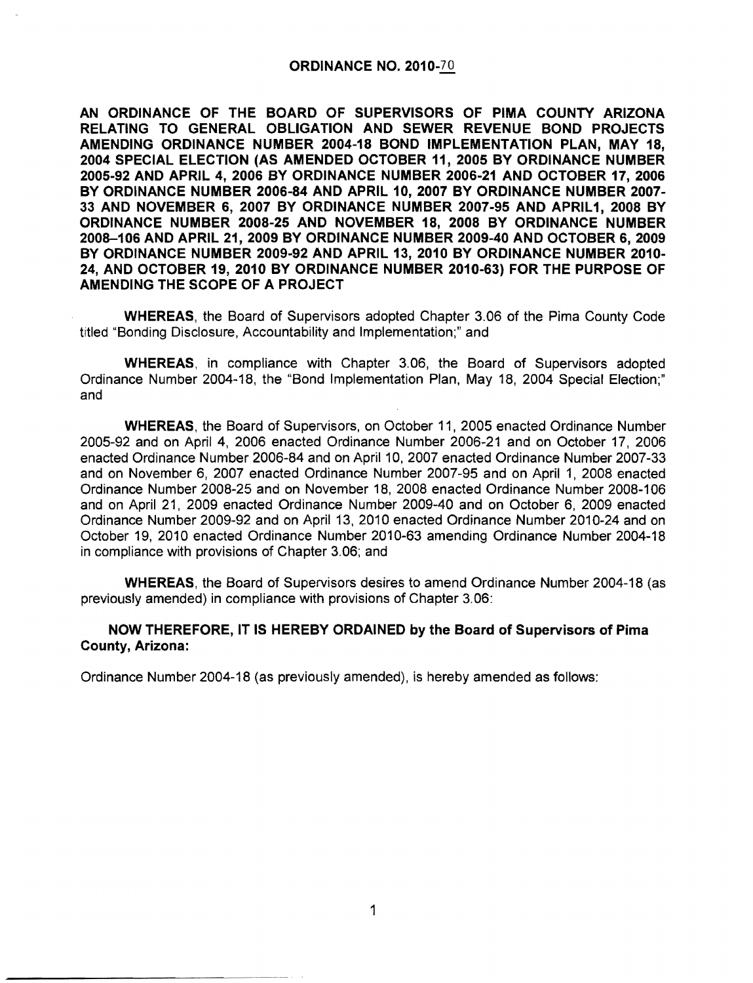## ORDINANCE NO. 2010-70

AN ORDINANCE OF THE BOARD OF SUPERVISORS OF PIMA COUNTY ARIZONA RELATING TO GENERAL OBLIGATION AND SEWER REVENUE BOND PROJECTS AMENDING ORDINANCE NUMBER 2004-18 BOND IMPLEMENTATION PLAN, MAY 18, 2004 SPECIAL ELECTION (AS AMENDED OCTOBER 11, 2005 BY ORDINANCE NUMBER 2005-92 AND APRIL 4,2006 BY ORDINANCE NUMBER 2006-21 AND OCTOBER 17,2006 BY ORDINANCE NUMBER 2006-84 AND APRIL 10, 2007 BY ORDINANCE NUMBER 2007 33 AND NOVEMBER 6, 2007 BY ORDINANCE NUMBER 2007-95 AND APRIL1, 2008 BY ORDINANCE NUMBER 2008-25 AND NOVEMBER 18, 2008 BY ORDINANCE NUMBER 2008-106 AND APRIL 21, 2009 BY ORDINANCE NUMBER 2009-40 AND OCTOBER 6,2009 BY ORDINANCE NUMBER 2009-92 AND APRIL 13, 2010 BY ORDINANCE NUMBER 2010 24, AND OCTOBER 19,2010 BY ORDINANCE NUMBER 2010-63) FOR THE PURPOSE OF AMENDING THE SCOPE OF A PROJECT

WHEREAS, the Board of Supervisors adopted Chapter 3.06 of the Pima County Code titled "Bonding Disclosure, Accountability and Implementation;" and

WHEREAS, in compliance with Chapter 3.06, the Board of Supervisors adopted Ordinance Number 2004-18, the "Bond Implementation Plan, May 18, 2004 Special Election;" and

WHEREAS, the Board of Supervisors, on October 11, 2005 enacted Ordinance Number 2005-92 and on April 4, 2006 enacted Ordinance Number 2006-21 and on October 17, 2006 enacted Ordinance Number 2006-84 and on April 10, 2007 enacted Ordinance Number 2007-33 and on November 6, 2007 enacted Ordinance Number 2007-95 and on April 1, 2008 enacted Ordinance Number 2008-25 and on November 18, 2008 enacted Ordinance Number 2008-106 and on April 21, 2009 enacted Ordinance Number 2009-40 and on October 6, 2009 enacted Ordinance Number 2009-92 and on April 13, 2010 enacted Ordinance Number 2010-24 and on October 19, 2010 enacted Ordinance Number 2010-63 amending Ordinance Number 2004-18 in compliance with provisions of Chapter 3.06; and

WHEREAS, the Board of Supervisors desires to amend Ordinance Number 2004-18 (as previously amended) in compliance with provisions of Chapter 3.06:

## NOW THEREFORE, IT IS HEREBY ORDAINED by the Board of Supervisors of Pima County, Arizona:

Ordinance Number 2004-18 (as previously amended), is hereby amended as follows:

------------... ... .... -.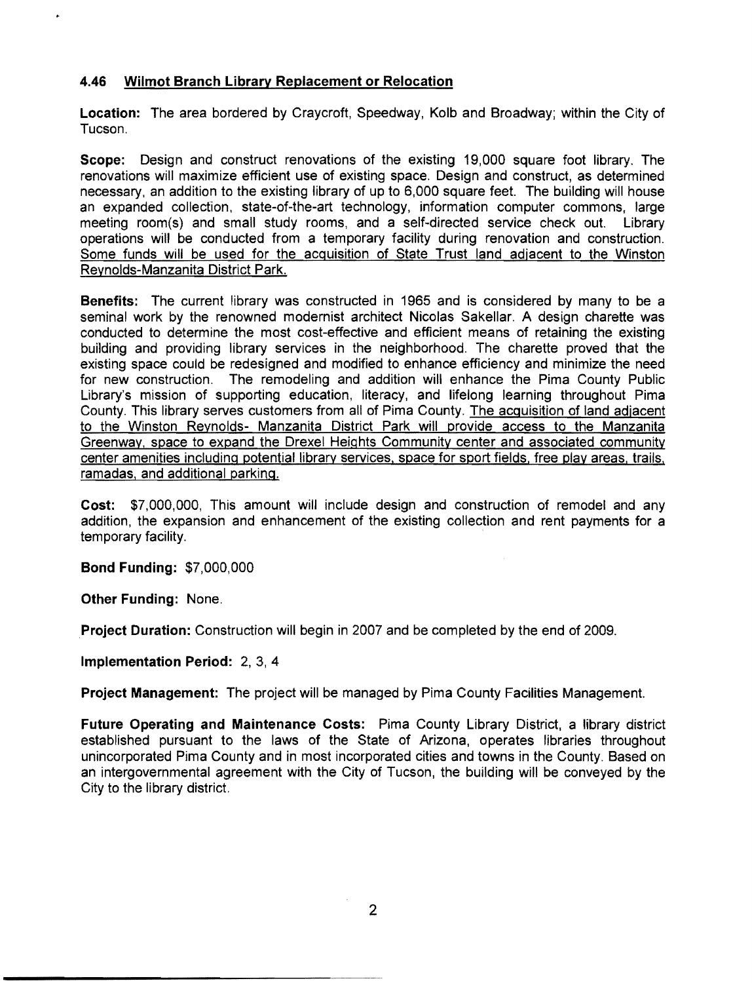## **4.46 Wilmot Branch Library Replacement or Relocation**

**Location:** The area bordered by Craycroft, Speedway, Kolb and Broadway; within the City of Tucson.

**Scope:** Design and construct renovations of the existing 19,000 square foot library. The renovations will maximize efficient use of existing space. Design and construct, as determined necessary, an addition to the existing library of up to 6,000 square feet. The building will house an expanded collection, state-of-the-art technology, information computer commons, large meeting room(s) and small study rooms, and a self-directed service check out. Library operations will be conducted from a temporary facility during renovation and construction. Some funds will be used for the acquisition of State Trust land adjacent to the Winston Reynolds-Manzanita District Park.

**Benefits:** The current library was constructed in 1965 and is considered by many to be a seminal work by the renowned modernist architect Nicolas Sakellar. A design charette was conducted to determine the most cost-effective and efficient means of retaining the existing building and providing library services in the neighborhood. The charette proved that the existing space could be redesigned and modified to enhance efficiency and minimize the need for new construction. The remodeling and addition will enhance the Pima County Public Library's mission of supporting education, literacy, and lifelong learning throughout Pima County. This library serves customers from all of Pima County. The acquisition of land adjacent to the Winston Reynolds- Manzanita District Park will provide access to the Manzanita Greenway, space to expand the Drexel Heights Community center and associated community center amenities including potential library services. space for sport fields, free play areas, trails. ramadas, and additional parking.

**Cost:** \$7,000,000, This amount will include design and construction of remodel and any addition, the expansion and enhancement of the existing collection and rent payments for a temporary facility. .

**Bond Funding:** \$7,000,000

**Other Funding:** None.

**Project Duration:** Construction will begin in 2007 and be completed by the end of 2009.

**Implementation Period:** 2, 3, 4

**Project Management:** The project will be managed by Pima County Facilities Management.

**Future Operating and Maintenance Costs:** Pima County Library District, a library district established pursuant to the laws of the State of Arizona, operates libraries throughout unincorporated Pima County and in most incorporated cities and towns in the County. Based on an intergovernmental agreement with the City of Tucson, the building will be conveyed by the City to the library district.